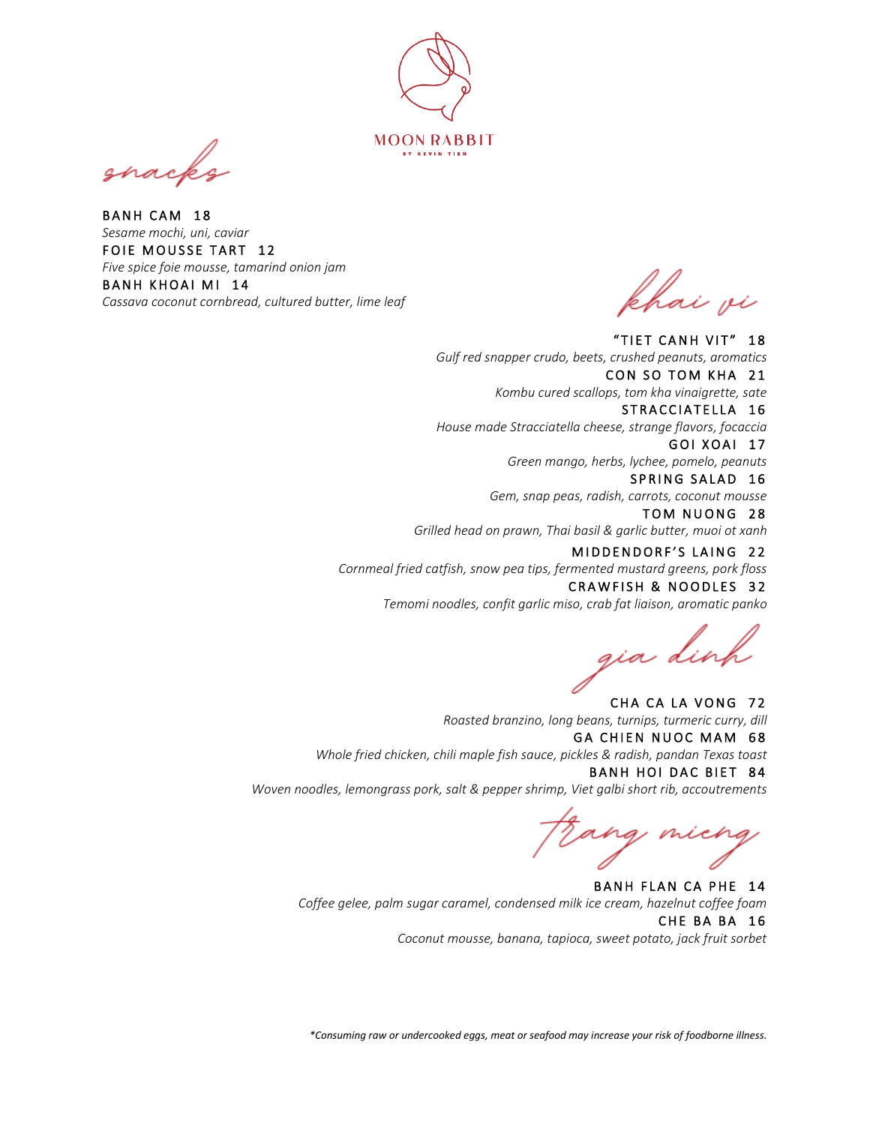

í

BANH CAM 18 *Sesame mochi, uni, caviar*  FOIE MOUSSE TART 12 *Five spice foie mousse, tamarind onion jam* BANH KHOAI MI 14 *Cassava coconut cornbread, cultured butter, lime leaf*

khai vi

 *Gulf red snapper crudo, beets, crushed peanuts, aromatics* "TIET CANH VIT" 18 CON SO TOM KHA 21 *Kombu cured scallops, tom kha vinaigrette, sate* STRACCIATELLA 16

*House made Stracciatella cheese, strange flavors, focaccia* GOI XOAI 17

*Green mango, herbs, lychee, pomelo, peanuts* SPRING SALAD 16

*Gem, snap peas, radish, carrots, coconut mousse*

TOM NUONG 28 *Grilled head on prawn, Thai basil & garlic butter, muoi ot xanh*

MIDDENDORF'S LAING 22 *Cornmeal fried catfish, snow pea tips, fermented mustard greens, pork floss* CRAWFISH & NOODLES 32

*Temomi noodles, confit garlic miso, crab fat liaison, aromatic panko*

gia dinh

CHA CA LA VONG 72 *Roasted branzino, long beans, turnips, turmeric curry, dill* GA CHIEN NUOC MAM 68 *Whole fried chicken, chili maple fish sauce, pickles & radish, pandan Texas toast* BANH HOI DAC BIET 84 *Woven noodles, lemongrass pork, salt & pepper shrimp, Viet galbi short rib, accoutrements*

Frang micng

BANH FLAN CA PHE 14 *Coffee gelee, palm sugar caramel, condensed milk ice cream, hazelnut coffee foam*  CHE BA BA 16 *Coconut mousse, banana, tapioca, sweet potato, jack fruit sorbet*

*\*Consuming raw or undercooked eggs, meat or seafood may increase your risk of foodborne illness.*